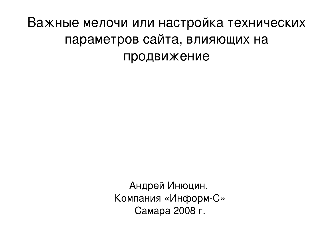# Важные мелочи или настройка технических параметров сайта, влияющих на продвижение

Андрей Инюцин. Компания «Информ-С» Самара 2008 г.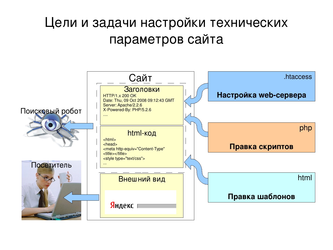# Цели и задачи настройки технических параметров сайта

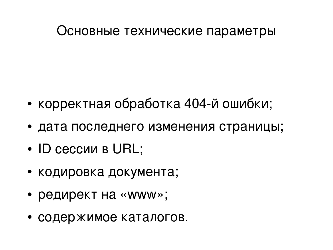- содержимое каталогов.
- редирект на «www»;
- кодировка документа;
- ID сессии в URL;
- дата последнего изменения страницы;

Основные технические параметры

• корректная обработка 404-й ошибки;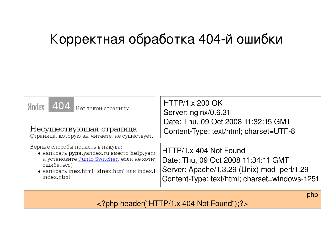# Корректная обработка 404-й ошибки



php

<?php header("HTTP/1.x 404 Not Found");?>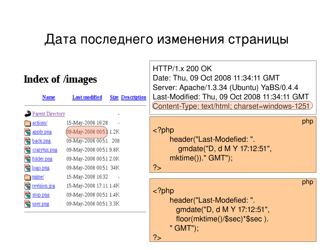### Дата последнего изменения страницы



?>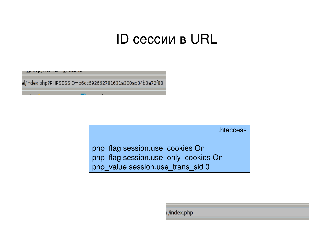# ID сессии в URL

al/index.php?PHPSESSID=b6cc692662781631a300ab34b3a72f88

.htaccess

php\_flag session.use\_cookies On php\_flag session.use\_only\_cookies On php\_value session.use\_trans\_sid 0

il/index.php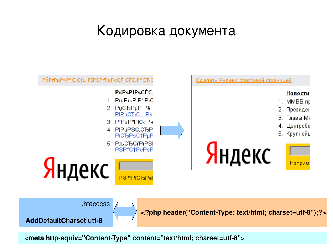# Кодировка документа



<meta http-equiv="Content-Type" content="text/html; charset=utf-8">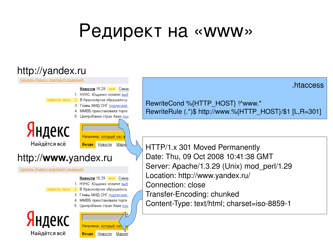# Редирект на «www»

### http://yandex.ru